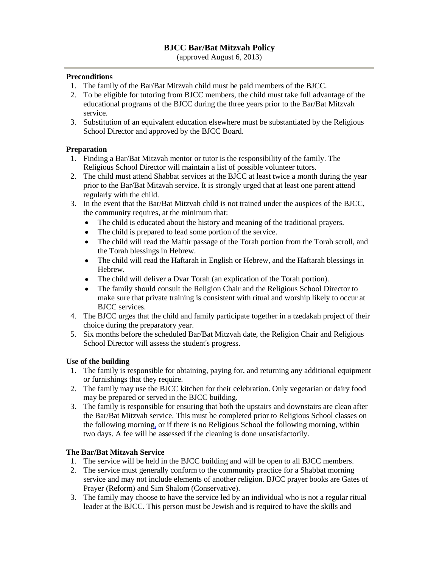# **BJCC Bar/Bat Mitzvah Policy**

(approved August 6, 2013)

#### **Preconditions**

- 1. The family of the Bar/Bat Mitzvah child must be paid members of the BJCC.
- 2. To be eligible for tutoring from BJCC members, the child must take full advantage of the educational programs of the BJCC during the three years prior to the Bar/Bat Mitzvah service.
- 3. Substitution of an equivalent education elsewhere must be substantiated by the Religious School Director and approved by the BJCC Board.

## **Preparation**

- 1. Finding a Bar/Bat Mitzvah mentor or tutor is the responsibility of the family. The Religious School Director will maintain a list of possible volunteer tutors.
- 2. The child must attend Shabbat services at the BJCC at least twice a month during the year prior to the Bar/Bat Mitzvah service. It is strongly urged that at least one parent attend regularly with the child.
- 3. In the event that the Bar/Bat Mitzvah child is not trained under the auspices of the BJCC, the community requires, at the minimum that:
	- The child is educated about the history and meaning of the traditional prayers.
	- $\bullet$ The child is prepared to lead some portion of the service.
	- $\bullet$ The child will read the Maftir passage of the Torah portion from the Torah scroll, and the Torah blessings in Hebrew.
	- The child will read the Haftarah in English or Hebrew, and the Haftarah blessings in  $\bullet$ Hebrew.
	- The child will deliver a Dvar Torah (an explication of the Torah portion).  $\bullet$
	- The family should consult the Religion Chair and the Religious School Director to make sure that private training is consistent with ritual and worship likely to occur at BJCC services.
- 4. The BJCC urges that the child and family participate together in a tzedakah project of their choice during the preparatory year.
- 5. Six months before the scheduled Bar/Bat Mitzvah date, the Religion Chair and Religious School Director will assess the student's progress.

## **Use of the building**

- 1. The family is responsible for obtaining, paying for, and returning any additional equipment or furnishings that they require.
- 2. The family may use the BJCC kitchen for their celebration. Only vegetarian or dairy food may be prepared or served in the BJCC building.
- 3. The family is responsible for ensuring that both the upstairs and downstairs are clean after the Bar/Bat Mitzvah service. This must be completed prior to Religious School classes on the following morning, or if there is no Religious School the following morning, within two days. A fee will be assessed if the cleaning is done unsatisfactorily.

#### **The Bar/Bat Mitzvah Service**

- 1. The service will be held in the BJCC building and will be open to all BJCC members.
- 2. The service must generally conform to the community practice for a Shabbat morning service and may not include elements of another religion. BJCC prayer books are Gates of Prayer (Reform) and Sim Shalom (Conservative).
- 3. The family may choose to have the service led by an individual who is not a regular ritual leader at the BJCC. This person must be Jewish and is required to have the skills and